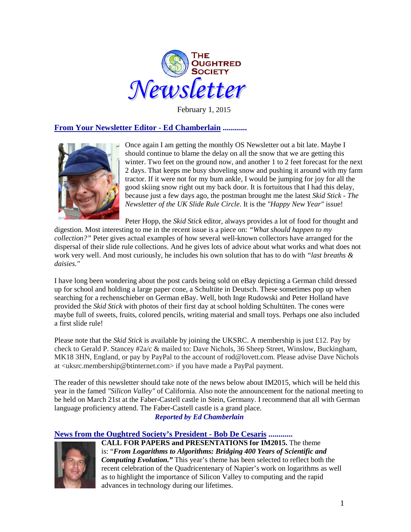

February 1, 2015

### **From Your Newsletter Editor - Ed Chamberlain ............**



Once again I am getting the monthly OS Newsletter out a bit late. Maybe I should continue to blame the delay on all the snow that we are getting this winter. Two feet on the ground now, and another 1 to 2 feet forecast for the next 2 days. That keeps me busy shoveling snow and pushing it around with my farm tractor. If it were not for my bum ankle, I would be jumping for joy for all the good skiing snow right out my back door. It is fortuitous that I had this delay, because just a few days ago, the postman brought me the latest *Skid Stick - The Newsletter of the UK Slide Rule Circle*. It is the *"Happy New Year"* issue!

Peter Hopp, the *Skid Stick* editor, always provides a lot of food for thought and

digestion. Most interesting to me in the recent issue is a piece on: *"What should happen to my collection?"* Peter gives actual examples of how several well-known collectors have arranged for the dispersal of their slide rule collections. And he gives lots of advice about what works and what does not work very well. And most curiously, he includes his own solution that has to do with *"last breaths & daisies."*

I have long been wondering about the post cards being sold on eBay depicting a German child dressed up for school and holding a large paper cone, a Schultüte in Deutsch. These sometimes pop up when searching for a rechenschieber on German eBay. Well, both Inge Rudowski and Peter Holland have provided the *Skid Stick* with photos of their first day at school holding Schultüten. The cones were maybe full of sweets, fruits, colored pencils, writing material and small toys. Perhaps one also included a first slide rule!

Please note that the *Skid Stick* is available by joining the UKSRC. A membership is just £12. Pay by check to Gerald P. Stancey #2a/c & mailed to: Dave Nichols, 36 Sheep Street, Winslow, Buckingham, MK18 3HN, England, or pay by PayPal to the account of rod@lovett.com. Please advise Dave Nichols at <uksrc.membership@btinternet.com> if you have made a PayPal payment.

The reader of this newsletter should take note of the news below about IM2015, which will be held this year in the famed *"Silicon Valley"* of California. Also note the announcement for the national meeting to be held on March 21st at the Faber-Castell castle in Stein, Germany. I recommend that all with German language proficiency attend. The Faber-Castell castle is a grand place. *Reported by Ed Chamberlain*

# **News from the Oughtred Society's President - Bob De Cesaris ............**

advances in technology during our lifetimes.



**CALL FOR PAPERS and PRESENTATIONS for IM2015.** The theme is: "*From Logarithms to Algorithms: Bridging 400 Years of Scientific and Computing Evolution."* This year's theme has been selected to reflect both the recent celebration of the Quadricentenary of Napier's work on logarithms as well as to highlight the importance of Silicon Valley to computing and the rapid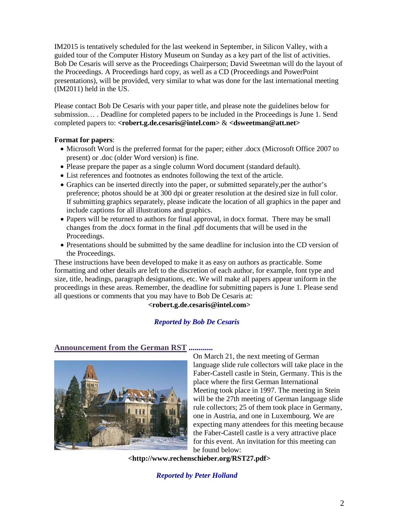IM2015 is tentatively scheduled for the last weekend in September, in Silicon Valley, with a guided tour of the Computer History Museum on Sunday as a key part of the list of activities. Bob De Cesaris will serve as the Proceedings Chairperson; David Sweetman will do the layout of the Proceedings. A Proceedings hard copy, as well as a CD (Proceedings and PowerPoint presentations), will be provided, very similar to what was done for the last international meeting (IM2011) held in the US.

Please contact Bob De Cesaris with your paper title, and please note the guidelines below for submission… . Deadline for completed papers to be included in the Proceedings is June 1. Send completed papers to: **<robert.g.de.cesaris@intel.com>** & **<dsweetman@att.net>**

### **Format for papers**:

- Microsoft Word is the preferred format for the paper; either .docx (Microsoft Office 2007 to present) or .doc (older Word version) is fine.
- Please prepare the paper as a single column Word document (standard default).
- List references and footnotes as endnotes following the text of the article.
- Graphics can be inserted directly into the paper, or submitted separately,per the author's preference; photos should be at 300 dpi or greater resolution at the desired size in full color. If submitting graphics separately, please indicate the location of all graphics in the paper and include captions for all illustrations and graphics.
- Papers will be returned to authors for final approval, in docx format. There may be small changes from the .docx format in the final .pdf documents that will be used in the Proceedings.
- Presentations should be submitted by the same deadline for inclusion into the CD version of the Proceedings.

These instructions have been developed to make it as easy on authors as practicable. Some formatting and other details are left to the discretion of each author, for example, font type and size, title, headings, paragraph designations, etc. We will make all papers appear uniform in the proceedings in these areas. Remember, the deadline for submitting papers is June 1. Please send all questions or comments that you may have to Bob De Cesaris at:

**<robert.g.de.cesaris@intel.com>**

### *Reported by Bob De Cesaris*

### **Announcement from the German RST ............**



On March 21, the next meeting of German language slide rule collectors will take place in the Faber-Castell castle in Stein, Germany. This is the place where the first German International Meeting took place in 1997. The meeting in Stein will be the 27th meeting of German language slide rule collectors; 25 of them took place in Germany, one in Austria, and one in Luxembourg. We are expecting many attendees for this meeting because the Faber-Castell castle is a very attractive place for this event. An invitation for this meeting can be found below:

**<http://www.rechenschieber.org/RST27.pdf>**

*Reported by Peter Holland*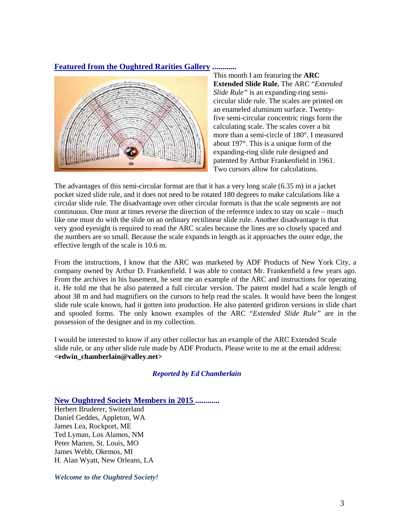### **Featured from the Oughtred Rarities Gallery ............**



This month I am featuring the **ARC Extended Slide Rule.** The ARC "*Extended Slide Rule"* is an expanding-ring semicircular slide rule. The scales are printed on an enameled aluminum surface. Twentyfive semi-circular concentric rings form the calculating scale. The scales cover a bit more than a semi-circle of 180°. I measured about 197°. This is a unique form of the expanding-ring slide rule designed and patented by Arthur Frankenfield in 1961. Two cursors allow for calculations.

The advantages of this semi-circular format are that it has a very long scale (6.35 m) in a jacket pocket sized slide rule, and it does not need to be rotated 180 degrees to make calculations like a circular slide rule. The disadvantage over other circular formats is that the scale segments are not continuous. One must at times reverse the direction of the reference index to stay on scale – much like one must do with the slide on an ordinary rectilinear slide rule. Another disadvantage is that very good eyesight is required to read the ARC scales because the lines are so closely spaced and the numbers are so small. Because the scale expands in length as it approaches the outer edge, the effective length of the scale is 10.6 m.

From the instructions, I know that the ARC was marketed by ADF Products of New York City, a company owned by Arthur D. Frankenfield. I was able to contact Mr. Frankenfield a few years ago. From the archives in his basement, he sent me an example of the ARC and instructions for operating it. He told me that he also patented a full circular version. The patent model had a scale length of about 38 m and had magnifiers on the cursors to help read the scales. It would have been the longest slide rule scale known, had it gotten into production. He also patented gridiron versions in slide chart and spooled forms. The only known examples of the ARC "*Extended Slide Rule"* are in the possession of the designer and in my collection.

I would be interested to know if any other collector has an example of the ARC Extended Scale slide rule, or any other slide rule made by ADF Products. Please write to me at the email address: **<edwin\_chamberlain@valley.net>**

#### *Reported by Ed Chamberlain*

**New Oughtred Society Members in 2015 ............**

Herbert Bruderer, Switzerland Daniel Geddes, Appleton, WA James Lea, Rockport, ME Ted Lyman, Los Alamos, NM Peter Marten, St. Louis, MO James Webb, Okemos, MI H. Alan Wyatt, New Orleans, LA

*Welcome to the Oughtred Society!*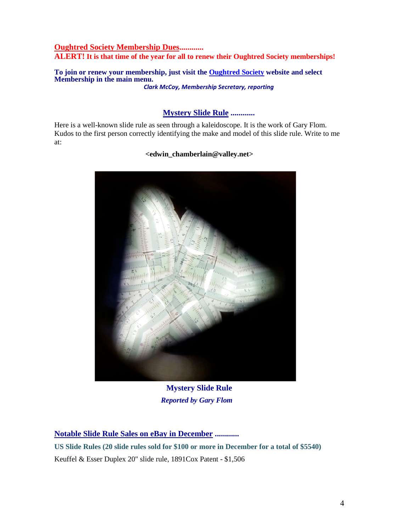## **Oughtred Society Membership Dues............ ALERT! It is that time of the year for all to renew their Oughtred Society memberships!**

**To join or renew your membership, just visit the [Oughtred Society](http://www.oughtred.org/) website and select Membership in the main menu.**  *Clark McCoy, Membership Secretary, reporting*

## **Mystery Slide Rule ............**

Here is a well-known slide rule as seen through a kaleidoscope. It is the work of Gary Flom. Kudos to the first person correctly identifying the make and model of this slide rule. Write to me at:

### **<edwin\_chamberlain@valley.net>**



**Mystery Slide Rule** *Reported by Gary Flom*

**Notable Slide Rule Sales on eBay in December ............**

**US Slide Rules (20 slide rules sold for \$100 or more in December for a total of \$5540)** Keuffel & Esser Duplex 20" slide rule, 1891Cox Patent - \$1,506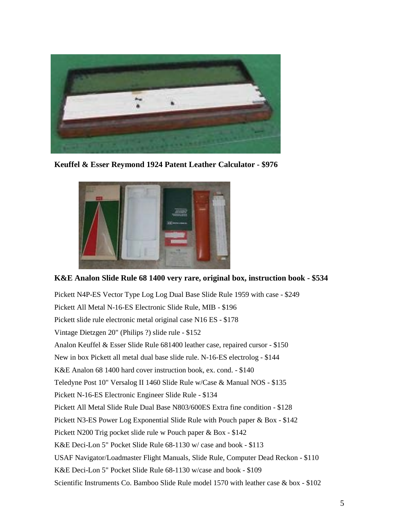

**Keuffel & Esser Reymond 1924 Patent Leather Calculator - \$976**



## **K&E Analon Slide Rule 68 1400 very rare, original box, instruction book - \$534**

Pickett N4P-ES Vector Type Log Log Dual Base Slide Rule 1959 with case - \$249 Pickett All Metal N-16-ES Electronic Slide Rule, MIB - \$196 Pickett slide rule electronic metal original case N16 ES - \$178 Vintage Dietzgen 20" (Philips ?) slide rule - \$152 Analon Keuffel & Esser Slide Rule 681400 leather case, repaired cursor - \$150 New in box Pickett all metal dual base slide rule. N-16-ES electrolog - \$144 K&E Analon 68 1400 hard cover instruction book, ex. cond. - \$140 Teledyne Post 10" Versalog II 1460 Slide Rule w/Case & Manual NOS - \$135 Pickett N-16-ES Electronic Engineer Slide Rule - \$134 Pickett All Metal Slide Rule Dual Base N803/600ES Extra fine condition - \$128 Pickett N3-ES Power Log Exponential Slide Rule with Pouch paper & Box - \$142 Pickett N200 Trig pocket slide rule w Pouch paper & Box - \$142 K&E Deci-Lon 5" Pocket Slide Rule 68-1130 w/ case and book - \$113 USAF Navigator/Loadmaster Flight Manuals, Slide Rule, Computer Dead Reckon - \$110 K&E Deci-Lon 5" Pocket Slide Rule 68-1130 w/case and book - \$109 Scientific Instruments Co. Bamboo Slide Rule model 1570 with leather case & box - \$102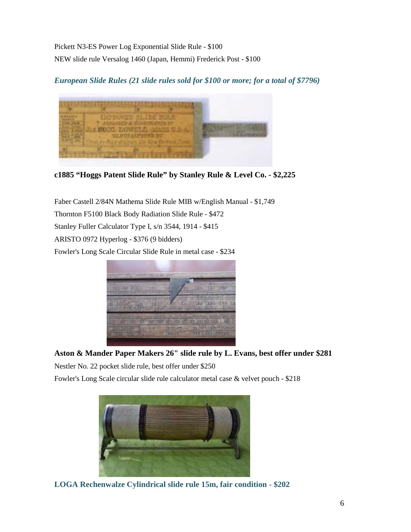Pickett N3-ES Power Log Exponential Slide Rule - \$100 NEW slide rule Versalog 1460 (Japan, Hemmi) Frederick Post - \$100

*European Slide Rules (21 slide rules sold for \$100 or more; for a total of \$7796)*



**c1885 "Hoggs Patent Slide Rule" by Stanley Rule & Level Co. - \$2,225**

Faber Castell 2/84N Mathema Slide Rule MIB w/English Manual - \$1,749 Thornton F5100 Black Body Radiation Slide Rule - \$472 Stanley Fuller Calculator Type I, s/n 3544, 1914 - \$415 ARISTO 0972 Hyperlog - \$376 (9 bidders) Fowler's Long Scale Circular Slide Rule in metal case - \$234



# **Aston & Mander Paper Makers 26" slide rule by L. Evans, best offer under \$281**

Nestler No. 22 pocket slide rule, best offer under \$250

Fowler's Long Scale circular slide rule calculator metal case & velvet pouch - \$218



**LOGA Rechenwalze Cylindrical slide rule 15m, fair condition - \$202**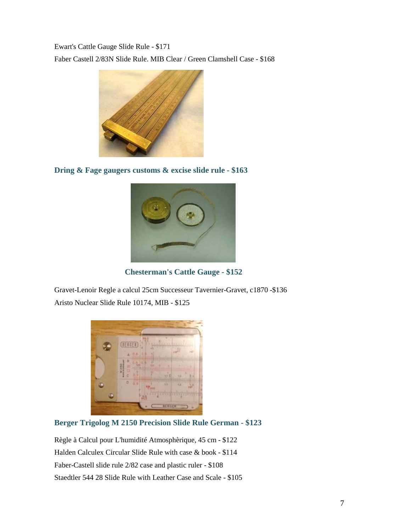Ewart's Cattle Gauge Slide Rule - \$171 Faber Castell 2/83N Slide Rule. MIB Clear / Green Clamshell Case - \$168



**Dring & Fage gaugers customs & excise slide rule - \$163**



 **Chesterman's Cattle Gauge - \$152**

Gravet-Lenoir Regle a calcul 25cm Successeur Tavernier-Gravet, c1870 -\$136 Aristo Nuclear Slide Rule 10174, MIB - \$125

| 45<br><b>BERGER</b><br>ï<br>а<br>۵<br>0.6<br>A                                      |
|-------------------------------------------------------------------------------------|
| <b>Hillin</b><br>Ð<br>M 2150<br>ë<br>B<br>物<br>7737 13<br>d                         |
| ¢<br>ü<br>e<br>HHHHHH<br>n<br>0.9<br>tз<br>12<br><b>ME VOTE</b><br><b>Andiships</b> |
| v<br>п<br>v<br>ľ<br>×<br>٦<br>vyv<br>ı<br>×<br><b>DENSER</b>                        |

# **Berger Trigolog M 2150 Precision Slide Rule German - \$123**

Règle à Calcul pour L'humidité Atmosphèrique, 45 cm - \$122 Halden Calculex Circular Slide Rule with case & book - \$114 Faber-Castell slide rule 2/82 case and plastic ruler - \$108 Staedtler 544 28 Slide Rule with Leather Case and Scale - \$105